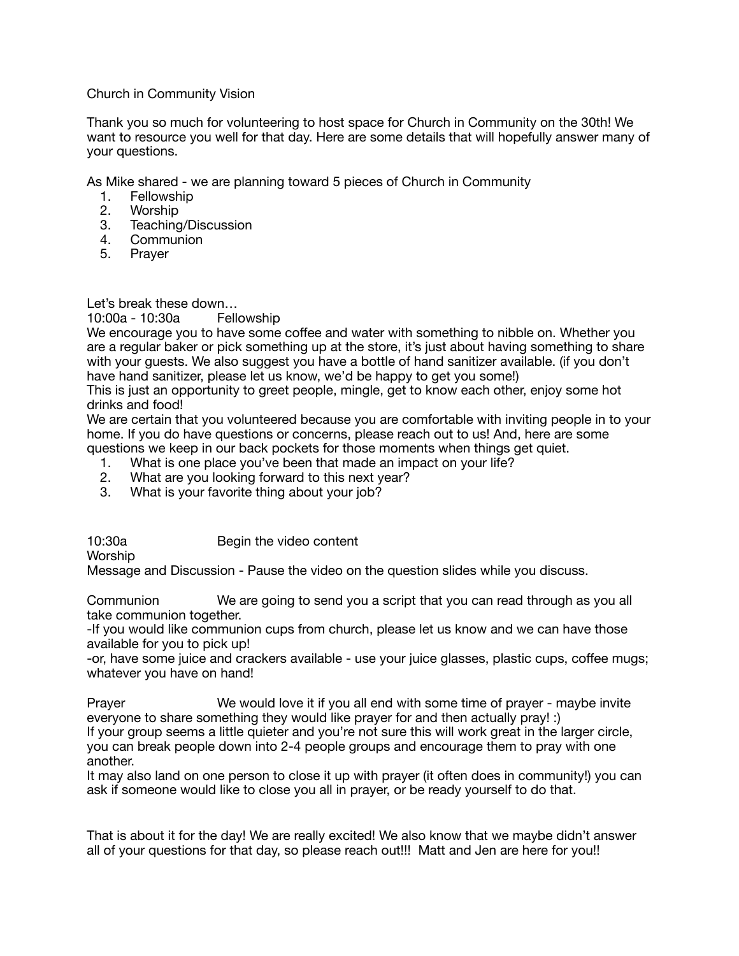## Church in Community Vision

Thank you so much for volunteering to host space for Church in Community on the 30th! We want to resource you well for that day. Here are some details that will hopefully answer many of your questions.

As Mike shared - we are planning toward 5 pieces of Church in Community

- 1. Fellowship
- 2. Worship
- 3. Teaching/Discussion
- 4. Communion
- 5. Prayer

Let's break these down...<br>10:00a - 10:30a – Fellowship  $10:00a - 10:30a$ 

We encourage you to have some coffee and water with something to nibble on. Whether you are a regular baker or pick something up at the store, it's just about having something to share with your guests. We also suggest you have a bottle of hand sanitizer available. (if you don't have hand sanitizer, please let us know, we'd be happy to get you some!)

This is just an opportunity to greet people, mingle, get to know each other, enjoy some hot drinks and food!

We are certain that you volunteered because you are comfortable with inviting people in to your home. If you do have questions or concerns, please reach out to us! And, here are some questions we keep in our back pockets for those moments when things get quiet.

- 
- 1. What is one place you've been that made an impact on your life?<br>2. What are you looking forward to this next year? What are you looking forward to this next year?
- 3. What is your favorite thing about your job?

10:30a Begin the video content Worship Message and Discussion - Pause the video on the question slides while you discuss.

Communion **Communion** We are going to send you a script that you can read through as you all take communion together.

-If you would like communion cups from church, please let us know and we can have those available for you to pick up!

-or, have some juice and crackers available - use your juice glasses, plastic cups, coffee mugs; whatever you have on hand!

Prayer **Start Common We would love it if you all end with some time of prayer - maybe invite** everyone to share something they would like prayer for and then actually pray! :) If your group seems a little quieter and you're not sure this will work great in the larger circle, you can break people down into 2-4 people groups and encourage them to pray with one another.

It may also land on one person to close it up with prayer (it often does in community!) you can ask if someone would like to close you all in prayer, or be ready yourself to do that.

That is about it for the day! We are really excited! We also know that we maybe didn't answer all of your questions for that day, so please reach out!!! Matt and Jen are here for you!!